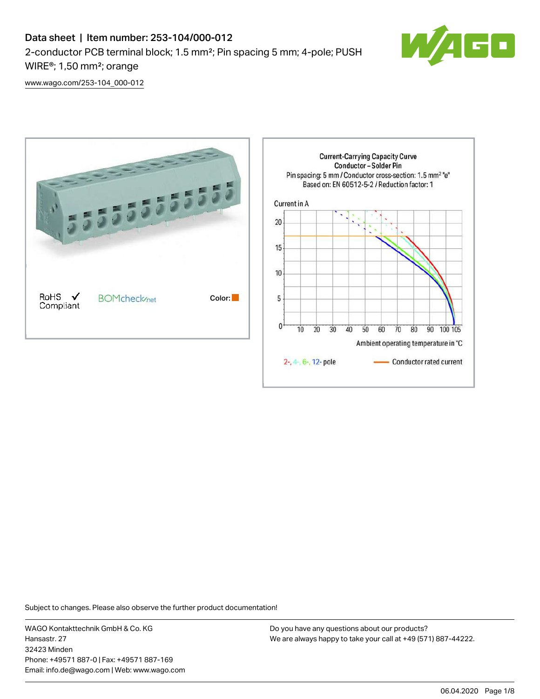

[www.wago.com/253-104\\_000-012](http://www.wago.com/253-104_000-012)



Subject to changes. Please also observe the further product documentation!

WAGO Kontakttechnik GmbH & Co. KG Hansastr. 27 32423 Minden Phone: +49571 887-0 | Fax: +49571 887-169 Email: info.de@wago.com | Web: www.wago.com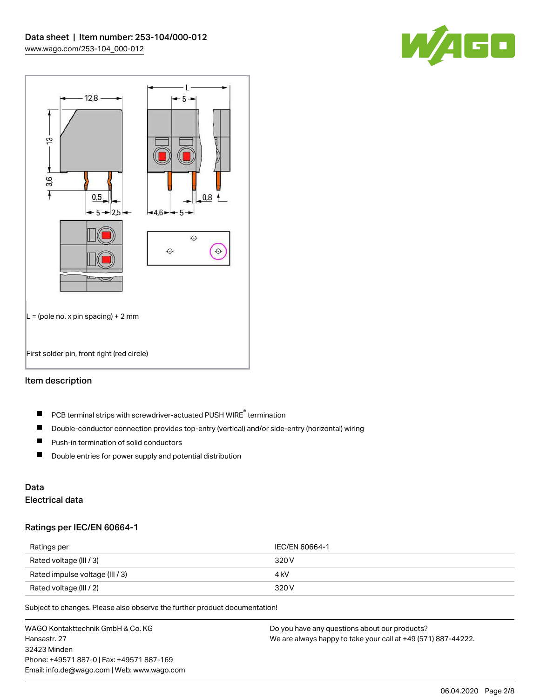



## Item description

- PCB terminal strips with screwdriver-actuated PUSH WIRE® termination  $\blacksquare$
- $\blacksquare$ Double-conductor connection provides top-entry (vertical) and/or side-entry (horizontal) wiring
- $\blacksquare$ Push-in termination of solid conductors
- $\blacksquare$ Double entries for power supply and potential distribution

# Data

# Electrical data

### Ratings per IEC/EN 60664-1

| Ratings per                     | IEC/EN 60664-1 |
|---------------------------------|----------------|
| Rated voltage (III / 3)         | 320 V          |
| Rated impulse voltage (III / 3) | 4 kV           |
| Rated voltage (III / 2)         | 320 V          |

Subject to changes. Please also observe the further product documentation!

WAGO Kontakttechnik GmbH & Co. KG Hansastr. 27 32423 Minden Phone: +49571 887-0 | Fax: +49571 887-169 Email: info.de@wago.com | Web: www.wago.com Do you have any questions about our products? We are always happy to take your call at +49 (571) 887-44222.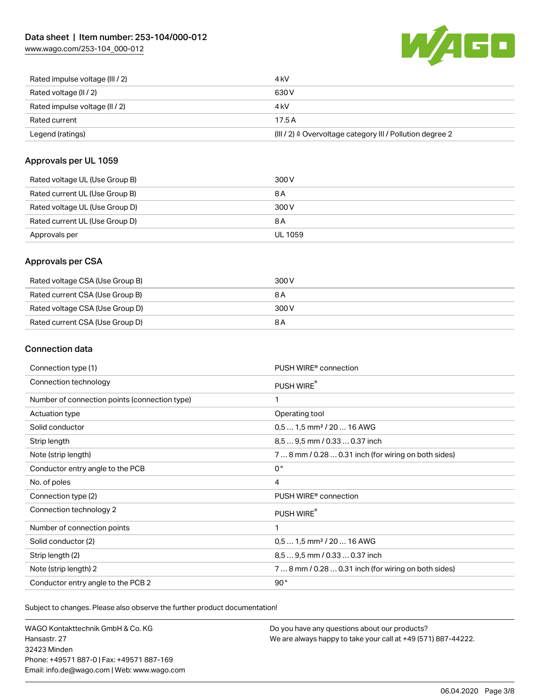[www.wago.com/253-104\\_000-012](http://www.wago.com/253-104_000-012)



| Rated impulse voltage (III / 2) | 4 <sub>k</sub> V                                          |
|---------------------------------|-----------------------------------------------------------|
| Rated voltage (II / 2)          | 630 V                                                     |
| Rated impulse voltage (II / 2)  | 4 kV                                                      |
| Rated current                   | 17.5A                                                     |
| Legend (ratings)                | (III / 2) ≙ Overvoltage category III / Pollution degree 2 |

### Approvals per UL 1059

| Rated voltage UL (Use Group B) | 300 V   |
|--------------------------------|---------|
| Rated current UL (Use Group B) | 8 A     |
| Rated voltage UL (Use Group D) | 300 V   |
| Rated current UL (Use Group D) | 8 A     |
| Approvals per                  | UL 1059 |

### Approvals per CSA

| Rated voltage CSA (Use Group B) | 300 V |
|---------------------------------|-------|
| Rated current CSA (Use Group B) | 8 A   |
| Rated voltage CSA (Use Group D) | 300 V |
| Rated current CSA (Use Group D) | 8 A   |

### Connection data

| Connection type (1)                           | PUSH WIRE <sup>®</sup> connection                    |
|-----------------------------------------------|------------------------------------------------------|
| Connection technology                         | PUSH WIRE®                                           |
| Number of connection points (connection type) | 1                                                    |
| Actuation type                                | Operating tool                                       |
| Solid conductor                               | $0.51.5$ mm <sup>2</sup> / 20  16 AWG                |
| Strip length                                  | 8,5  9,5 mm / 0.33  0.37 inch                        |
| Note (strip length)                           | 7  8 mm / 0.28  0.31 inch (for wiring on both sides) |
| Conductor entry angle to the PCB              | $0^{\circ}$                                          |
| No. of poles                                  | 4                                                    |
| Connection type (2)                           | PUSH WIRE <sup>®</sup> connection                    |
| Connection technology 2                       | PUSH WIRE®                                           |
| Number of connection points                   | 1                                                    |
| Solid conductor (2)                           | $0.51.5$ mm <sup>2</sup> / 20  16 AWG                |
| Strip length (2)                              | 8.5  9.5 mm / 0.33  0.37 inch                        |
| Note (strip length) 2                         | 7  8 mm / 0.28  0.31 inch (for wiring on both sides) |
| Conductor entry angle to the PCB 2            | 90°                                                  |

Subject to changes. Please also observe the further product documentation!

WAGO Kontakttechnik GmbH & Co. KG Hansastr. 27 32423 Minden Phone: +49571 887-0 | Fax: +49571 887-169 Email: info.de@wago.com | Web: www.wago.com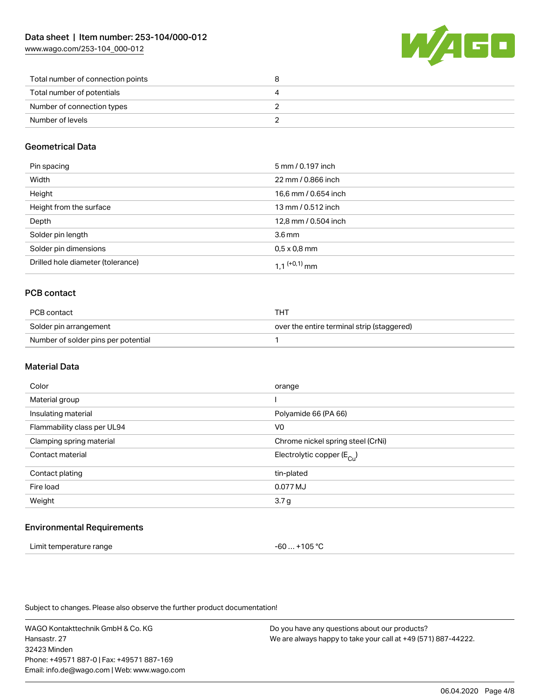[www.wago.com/253-104\\_000-012](http://www.wago.com/253-104_000-012)



| Total number of connection points |  |
|-----------------------------------|--|
| Total number of potentials        |  |
| Number of connection types        |  |
| Number of levels                  |  |

### Geometrical Data

| Pin spacing                       | 5 mm / 0.197 inch    |
|-----------------------------------|----------------------|
| Width                             | 22 mm / 0.866 inch   |
| Height                            | 16,6 mm / 0.654 inch |
| Height from the surface           | 13 mm / 0.512 inch   |
| Depth                             | 12,8 mm / 0.504 inch |
| Solder pin length                 | 3.6 <sub>mm</sub>    |
| Solder pin dimensions             | $0.5 \times 0.8$ mm  |
| Drilled hole diameter (tolerance) | 1 1 $(0.1)$ mm       |

### PCB contact

| PCB contact                         | THT                                        |
|-------------------------------------|--------------------------------------------|
| Solder pin arrangement              | over the entire terminal strip (staggered) |
| Number of solder pins per potential |                                            |

### Material Data

| Color                       | orange                                |
|-----------------------------|---------------------------------------|
| Material group              |                                       |
| Insulating material         | Polyamide 66 (PA 66)                  |
| Flammability class per UL94 | V <sub>0</sub>                        |
| Clamping spring material    | Chrome nickel spring steel (CrNi)     |
| Contact material            | Electrolytic copper $(E_{\text{Cl}})$ |
| Contact plating             | tin-plated                            |
| Fire load                   | 0.077 MJ                              |
| Weight                      | 3.7 g                                 |
|                             |                                       |

### Environmental Requirements

| Limit temperature range | -60  +105 °C |
|-------------------------|--------------|
|-------------------------|--------------|

Subject to changes. Please also observe the further product documentation!

WAGO Kontakttechnik GmbH & Co. KG Hansastr. 27 32423 Minden Phone: +49571 887-0 | Fax: +49571 887-169 Email: info.de@wago.com | Web: www.wago.com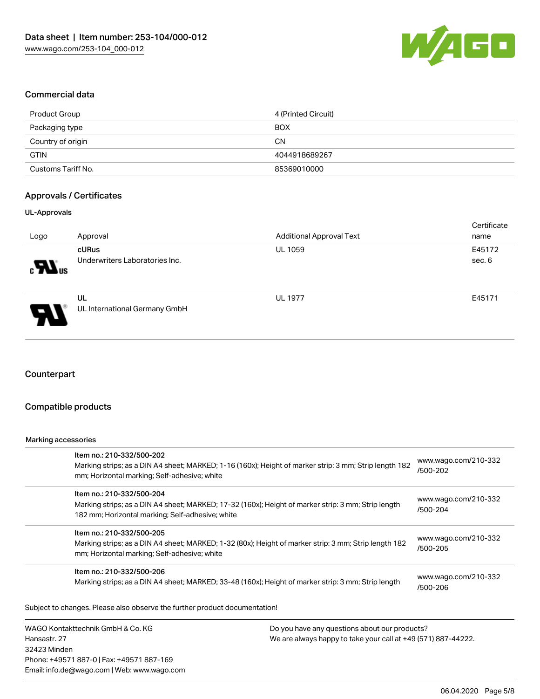

### Commercial data

| Product Group      | 4 (Printed Circuit) |
|--------------------|---------------------|
| Packaging type     | <b>BOX</b>          |
| Country of origin  | CΝ                  |
| <b>GTIN</b>        | 4044918689267       |
| Customs Tariff No. | 85369010000         |

### Approvals / Certificates

#### UL-Approvals

| Logo                       | Approval                                | <b>Additional Approval Text</b> | Certificate<br>name |
|----------------------------|-----------------------------------------|---------------------------------|---------------------|
| $\blacksquare$             | cURus<br>Underwriters Laboratories Inc. | <b>UL 1059</b>                  | E45172<br>sec. 6    |
| $\boldsymbol{\mathcal{A}}$ | UL<br>UL International Germany GmbH     | <b>UL 1977</b>                  | E45171              |

### **Counterpart**

### Compatible products

#### Marking accessories

Hansastr. 27

| Item no.: 210-332/500-202<br>Marking strips; as a DIN A4 sheet; MARKED; 1-16 (160x); Height of marker strip: 3 mm; Strip length 182<br>mm; Horizontal marking; Self-adhesive; white  |                                               | www.wago.com/210-332<br>/500-202 |  |  |
|--------------------------------------------------------------------------------------------------------------------------------------------------------------------------------------|-----------------------------------------------|----------------------------------|--|--|
| Item no.: 210-332/500-204<br>Marking strips; as a DIN A4 sheet; MARKED; 17-32 (160x); Height of marker strip: 3 mm; Strip length<br>182 mm; Horizontal marking; Self-adhesive; white |                                               | www.wago.com/210-332<br>/500-204 |  |  |
| Item no.: 210-332/500-205<br>Marking strips; as a DIN A4 sheet; MARKED; 1-32 (80x); Height of marker strip: 3 mm; Strip length 182<br>mm; Horizontal marking; Self-adhesive; white   |                                               | www.wago.com/210-332<br>/500-205 |  |  |
| Item no.: 210-332/500-206<br>Marking strips; as a DIN A4 sheet; MARKED; 33-48 (160x); Height of marker strip: 3 mm; Strip length                                                     |                                               | www.wago.com/210-332<br>/500-206 |  |  |
| Subject to changes. Please also observe the further product documentation!                                                                                                           |                                               |                                  |  |  |
| WAGO Kontakttechnik GmbH & Co. KG                                                                                                                                                    | Do you have any questions about our products? |                                  |  |  |

32423 Minden Phone: +49571 887-0 | Fax: +49571 887-169 Email: info.de@wago.com | Web: www.wago.com We are always happy to take your call at +49 (571) 887-44222.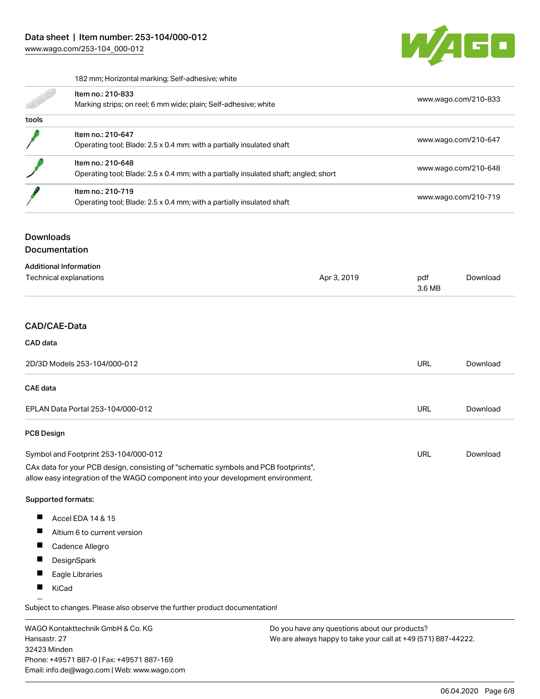

182 mm; Horizontal marking; Self-adhesive; white

|       | Item no.: 210-833<br>Marking strips; on reel; 6 mm wide; plain; Self-adhesive; white                      | www.wago.com/210-833 |
|-------|-----------------------------------------------------------------------------------------------------------|----------------------|
| tools |                                                                                                           |                      |
|       | Item no.: 210-647<br>Operating tool; Blade: 2.5 x 0.4 mm; with a partially insulated shaft                | www.wago.com/210-647 |
|       | Item no.: 210-648<br>Operating tool; Blade: 2.5 x 0.4 mm; with a partially insulated shaft; angled; short | www.wago.com/210-648 |
|       | Item no.: 210-719<br>Operating tool; Blade: 2.5 x 0.4 mm; with a partially insulated shaft                | www.wago.com/210-719 |

## Downloads

Documentation

| <b>Additional Information</b> |             |        |          |
|-------------------------------|-------------|--------|----------|
| Technical explanations        | Apr 3, 2019 | pdf    | Download |
|                               |             | 3.6 MB |          |
|                               |             |        |          |
|                               |             |        |          |
| $\bigcap_{n=1}^{\infty}$      |             |        |          |

# CAD/CAE-Data

| CAD data                                                                                                                                                               |     |          |
|------------------------------------------------------------------------------------------------------------------------------------------------------------------------|-----|----------|
| 2D/3D Models 253-104/000-012                                                                                                                                           | URL | Download |
| CAE data                                                                                                                                                               |     |          |
| EPLAN Data Portal 253-104/000-012                                                                                                                                      | URL | Download |
| <b>PCB Design</b>                                                                                                                                                      |     |          |
| Symbol and Footprint 253-104/000-012                                                                                                                                   | URL | Download |
| CAx data for your PCB design, consisting of "schematic symbols and PCB footprints",<br>allow easy integration of the WAGO component into your development environment. |     |          |

#### Supported formats:

- $\blacksquare$ Accel EDA 14 & 15
- $\blacksquare$ Altium 6 to current version
- $\blacksquare$ Cadence Allegro
- $\blacksquare$ **DesignSpark**
- $\blacksquare$ Eagle Libraries
- $\blacksquare$ KiCad

Subject to changes. Please also observe the further product documentation!

WAGO Kontakttechnik GmbH & Co. KG Hansastr. 27 32423 Minden Phone: +49571 887-0 | Fax: +49571 887-169 Email: info.de@wago.com | Web: www.wago.com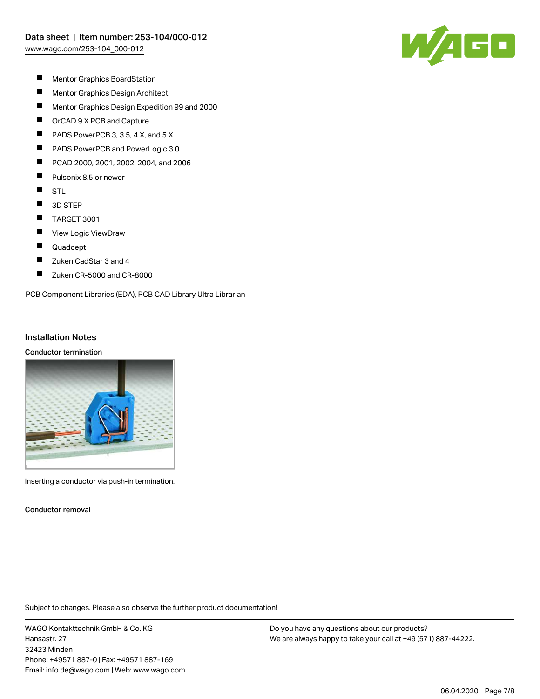

- $\blacksquare$ Mentor Graphics BoardStation
- $\blacksquare$ Mentor Graphics Design Architect
- $\blacksquare$ Mentor Graphics Design Expedition 99 and 2000
- $\blacksquare$ OrCAD 9.X PCB and Capture
- П PADS PowerPCB 3, 3.5, 4.X, and 5.X
- П PADS PowerPCB and PowerLogic 3.0
- П PCAD 2000, 2001, 2002, 2004, and 2006
- $\blacksquare$ Pulsonix 8.5 or newer
- $\blacksquare$ **STL**
- $\blacksquare$ 3D STEP
- $\blacksquare$ TARGET 3001!
- П View Logic ViewDraw
- $\blacksquare$ Quadcept
- $\blacksquare$ Zuken CadStar 3 and 4
- П Zuken CR-5000 and CR-8000

#### PCB Component Libraries (EDA), PCB CAD Library Ultra Librarian

### Installation Notes

#### Conductor termination



Inserting a conductor via push-in termination.

Conductor removal

Subject to changes. Please also observe the further product documentation!

WAGO Kontakttechnik GmbH & Co. KG Hansastr. 27 32423 Minden Phone: +49571 887-0 | Fax: +49571 887-169 Email: info.de@wago.com | Web: www.wago.com